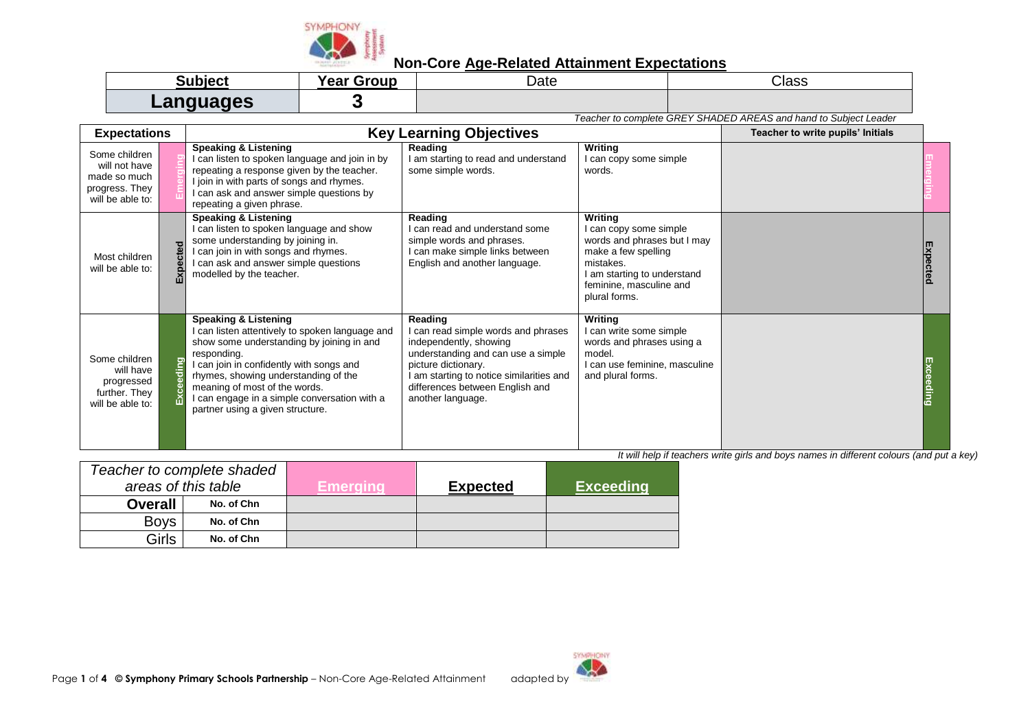

## **Non-Core Age-Related Attainment Expectations**

| IN IACT        | Year Group | Date | <b>Ploce</b><br>טוי -                                            |
|----------------|------------|------|------------------------------------------------------------------|
| <b>2006UNG</b> |            |      |                                                                  |
|                |            |      | Teacher to complete GREY SHADED AREAS and hand to Subject Leader |

**Expectations Key Learning Objectives Teacher to write pupils' Initials Key Learning Objectives** Some children will not have made so much progress. They will be able to: **Emerging Speaking & Listening** I can listen to spoken language and join in by repeating a response given by the teacher. I join in with parts of songs and rhymes. I can ask and answer simple questions by repeating a given phrase. **Reading** I am starting to read and understand some simple words. **Writing** I can copy some simple words. **Emerging** Most children will be able to: **Expected Speaking & Listening** I can listen to spoken language and show some understanding by joining in. I can join in with songs and rhymes. I can ask and answer simple questions modelled by the teacher. **Reading** I can read and understand some simple words and phrases. I can make simple links between English and another language. **Writing** I can copy some simple words and phrases but I may make a few spelling mistakes. I am starting to understand feminine, masculine and plural forms. **Expected** Some children will have progressed further. They will be able to: **Exceeding Speaking & Listening** I can listen attentively to spoken language and show some understanding by joining in and responding. I can join in confidently with songs and rhymes, showing understanding of the meaning of most of the words. I can engage in a simple conversation with a partner using a given structure. **Reading** I can read simple words and phrases independently, showing understanding and can use a simple picture dictionary. I am starting to notice similarities and differences between English and another language. **Writing** I can write some simple words and phrases using a model. I can use feminine, masculine and plural forms. **Exceeding**

*It will help if teachers write girls and boys names in different colours (and put a key) Teacher to complete shaded areas of this table* **Emerging Expected Exceeding Overall No. of Chn** Boys **No. of Chn** Girls **No. of Chn**

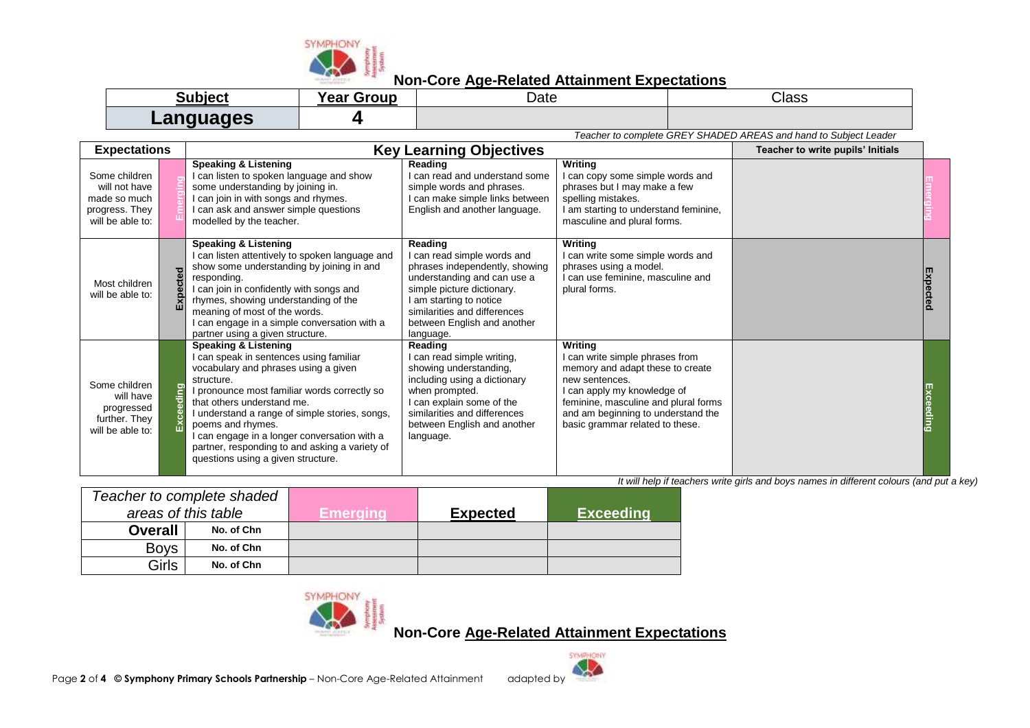

## **Non-Core Age-Related Attainment Expectations**

| Subiect          | Group<br>Year | Date | Class                                                            |
|------------------|---------------|------|------------------------------------------------------------------|
| <b>OBALIONAC</b> |               |      |                                                                  |
|                  |               |      | Teacher to complete GREY SHADED AREAS and hand to Subiect Leader |

| <b>Expectations</b>                                                                  |          |                                                                                                                                                                                                                                                                                                                                                                                                                       | <b>Key Learning Objectives</b>                                                                                                                                                                                                               |                                                                                                                                                                                                                                                  | Teacher to write pupils' Initials |          |
|--------------------------------------------------------------------------------------|----------|-----------------------------------------------------------------------------------------------------------------------------------------------------------------------------------------------------------------------------------------------------------------------------------------------------------------------------------------------------------------------------------------------------------------------|----------------------------------------------------------------------------------------------------------------------------------------------------------------------------------------------------------------------------------------------|--------------------------------------------------------------------------------------------------------------------------------------------------------------------------------------------------------------------------------------------------|-----------------------------------|----------|
| Some children<br>will not have<br>made so much<br>progress. They<br>will be able to: |          | <b>Speaking &amp; Listening</b><br>can listen to spoken language and show<br>some understanding by joining in.<br>can join in with songs and rhymes.<br>can ask and answer simple questions<br>modelled by the teacher.                                                                                                                                                                                               | Reading<br>I can read and understand some<br>simple words and phrases.<br>I can make simple links between<br>English and another language.                                                                                                   | Writing<br>I can copy some simple words and<br>phrases but I may make a few<br>spelling mistakes.<br>I am starting to understand feminine,<br>masculine and plural forms.                                                                        |                                   |          |
| Most children<br>will be able to:                                                    | Expected | <b>Speaking &amp; Listening</b><br>can listen attentively to spoken language and<br>show some understanding by joining in and<br>responding.<br>can join in confidently with songs and<br>rhymes, showing understanding of the<br>meaning of most of the words.<br>can engage in a simple conversation with a<br>partner using a given structure.                                                                     | Reading<br>I can read simple words and<br>phrases independently, showing<br>understanding and can use a<br>simple picture dictionary.<br>I am starting to notice<br>similarities and differences<br>between English and another<br>language. | Writing<br>I can write some simple words and<br>phrases using a model.<br>I can use feminine, masculine and<br>plural forms.                                                                                                                     |                                   | Expectec |
| Some children<br>will have<br>progressed<br>further. They<br>will be able to:        | ceeding  | <b>Speaking &amp; Listening</b><br>can speak in sentences using familiar<br>vocabulary and phrases using a given<br>structure.<br>pronounce most familiar words correctly so<br>that others understand me.<br>understand a range of simple stories, songs,<br>poems and rhymes.<br>can engage in a longer conversation with a<br>partner, responding to and asking a variety of<br>questions using a given structure. | Reading<br>I can read simple writing,<br>showing understanding,<br>including using a dictionary<br>when prompted.<br>I can explain some of the<br>similarities and differences<br>between English and another<br>language.                   | Writing<br>I can write simple phrases from<br>memory and adapt these to create<br>new sentences.<br>I can apply my knowledge of<br>feminine, masculine and plural forms<br>and am beginning to understand the<br>basic grammar related to these. |                                   |          |

*It will help if teachers write girls and boys names in different colours (and put a key)*

| Teacher to complete shaded |            |          |                 |                  |
|----------------------------|------------|----------|-----------------|------------------|
| areas of this table        |            | Emeraina | <b>Expected</b> | <b>Exceeding</b> |
| <b>Overall</b>             | No. of Chn |          |                 |                  |
| <b>Bovs</b>                | No. of Chn |          |                 |                  |
| Girls                      | No. of Chn |          |                 |                  |



**Non-Core Age-Related Attainment Expectations**

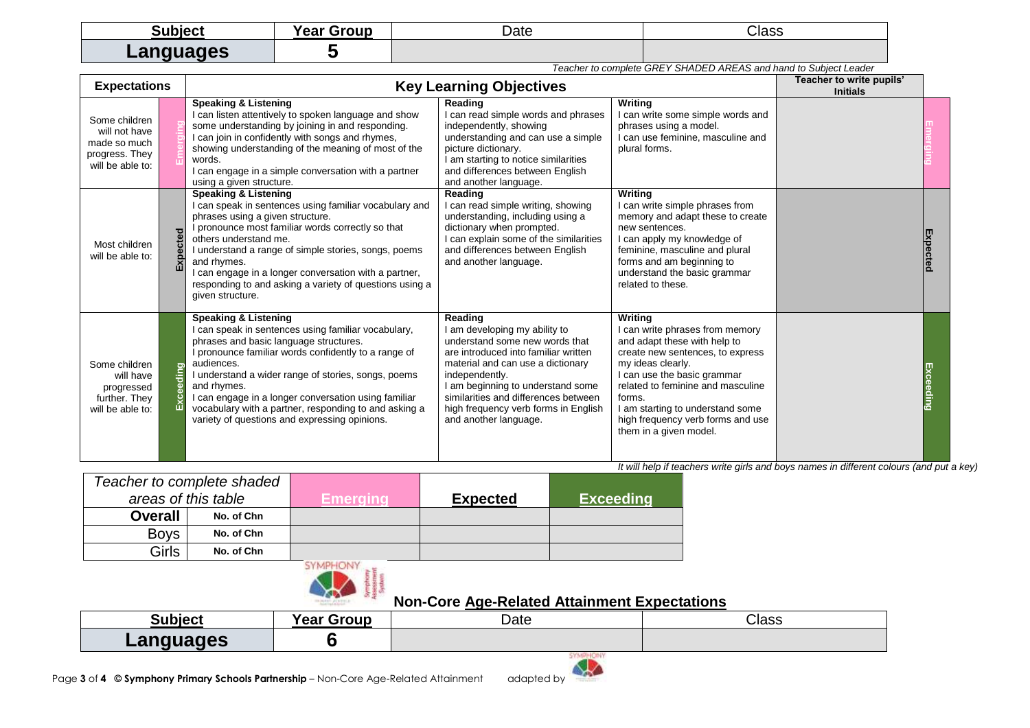| Subject   | Groun<br>Inar [<br>Gal. | Date | Class                                                                                                                                      |
|-----------|-------------------------|------|--------------------------------------------------------------------------------------------------------------------------------------------|
| Languages |                         |      | $\overline{\phantom{a}}$ . And $\overline{\phantom{a}}$ . And $\overline{\phantom{a}}$ . And $\overline{\phantom{a}}$<br>$\cdots$ $\cdots$ |

| <b>Expectations</b>                                                                  |             |                                                                                                                                                                                                                                                                                                                                                                                                                                     | Teacher to complete GREY SHADED AREAS and hand to Subject Leader                                                                                                                                                                                                                                                        | Teacher to write pupils'                                                                                                                                                                                                                                                                                             |                 |                 |
|--------------------------------------------------------------------------------------|-------------|-------------------------------------------------------------------------------------------------------------------------------------------------------------------------------------------------------------------------------------------------------------------------------------------------------------------------------------------------------------------------------------------------------------------------------------|-------------------------------------------------------------------------------------------------------------------------------------------------------------------------------------------------------------------------------------------------------------------------------------------------------------------------|----------------------------------------------------------------------------------------------------------------------------------------------------------------------------------------------------------------------------------------------------------------------------------------------------------------------|-----------------|-----------------|
| Some children<br>will not have<br>made so much<br>progress. They<br>will be able to: |             | <b>Speaking &amp; Listening</b><br>I can listen attentively to spoken language and show<br>some understanding by joining in and responding.<br>I can join in confidently with songs and rhymes,<br>showing understanding of the meaning of most of the<br>words.<br>I can engage in a simple conversation with a partner<br>using a given structure.                                                                                | <b>Key Learning Objectives</b><br>Reading<br>I can read simple words and phrases<br>independently, showing<br>understanding and can use a simple<br>picture dictionary.<br>I am starting to notice similarities<br>and differences between English<br>and another language.                                             | Writing<br>can write some simple words and<br>phrases using a model.<br>can use feminine, masculine and<br>plural forms.                                                                                                                                                                                             | <b>Initials</b> |                 |
| Most children<br>will be able to:                                                    | pected<br>囚 | Speaking & Listening<br>I can speak in sentences using familiar vocabulary and<br>phrases using a given structure.<br>I pronounce most familiar words correctly so that<br>others understand me.<br>I understand a range of simple stories, songs, poems<br>and rhymes.<br>I can engage in a longer conversation with a partner,<br>responding to and asking a variety of questions using a<br>given structure.                     | Reading<br>I can read simple writing, showing<br>understanding, including using a<br>dictionary when prompted.<br>I can explain some of the similarities<br>and differences between English<br>and another language.                                                                                                    | Writina<br>I can write simple phrases from<br>memory and adapt these to create<br>new sentences.<br>I can apply my knowledge of<br>feminine, masculine and plural<br>forms and am beginning to<br>understand the basic grammar<br>related to these.                                                                  |                 | <b>Expected</b> |
| Some children<br>will have<br>progressed<br>further. They<br>will be able to:        | Exceeding   | Speaking & Listening<br>I can speak in sentences using familiar vocabulary,<br>phrases and basic language structures.<br>I pronounce familiar words confidently to a range of<br>audiences.<br>I understand a wider range of stories, songs, poems<br>and rhymes.<br>I can engage in a longer conversation using familiar<br>vocabulary with a partner, responding to and asking a<br>variety of questions and expressing opinions. | Reading<br>I am developing my ability to<br>understand some new words that<br>are introduced into familiar written<br>material and can use a dictionary<br>independently.<br>I am beginning to understand some<br>similarities and differences between<br>high frequency verb forms in English<br>and another language. | Writing<br>I can write phrases from memory<br>and adapt these with help to<br>create new sentences, to express<br>my ideas clearly.<br>I can use the basic grammar<br>related to feminine and masculine<br>forms.<br>I am starting to understand some<br>high frequency verb forms and use<br>them in a given model. |                 | Exceeding       |

*It will help if teachers write girls and boys names in different colours (and put a key)*

| Teacher to complete shaded<br>areas of this table |            | Emeraina | <b>Expected</b> | <b>Exceeding</b> |
|---------------------------------------------------|------------|----------|-----------------|------------------|
| <b>Overall</b>                                    | No. of Chn |          |                 |                  |
| <b>Boys</b>                                       | No. of Chn |          |                 |                  |
| Girls                                             | No. of Chn |          |                 |                  |



## **Non-Core Age-Related Attainment Expectations**

| <b>Cubiect</b><br>. | $\cdot$<br>iroun<br>"פמ"<br>car | Date                          | --<br>Class |
|---------------------|---------------------------------|-------------------------------|-------------|
| anguages<br>--      |                                 |                               |             |
|                     |                                 | Charles All College Park 211- |             |